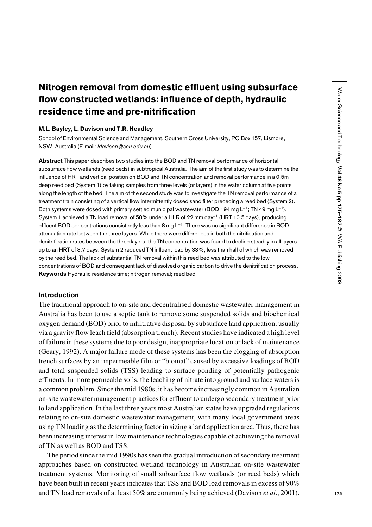# Nitrogen removal from domestic effluent using subsurface flow constructed wetlands: influence of depth, hydraulic residence time and pre-nitrification

## M.L. Bayley, L. Davison and T.R. Headley

School of Environmental Science and Management, Southern Cross University, PO Box 157, Lismore, NSW, Australia (E-mail: *ldavison@scu.edu.au*)

Abstract This paper describes two studies into the BOD and TN removal performance of horizontal subsurface flow wetlands (reed beds) in subtropical Australia. The aim of the first study was to determine the influence of HRT and vertical position on BOD and TN concentration and removal performance in a 0.5m deep reed bed (System 1) by taking samples from three levels (or layers) in the water column at five points along the length of the bed. The aim of the second study was to investigate the TN removal performance of a treatment train consisting of a vertical flow intermittently dosed sand filter preceding a reed bed (System 2). Both systems were dosed with primary settled municipal wastewater (BOD 194 mg L<sup>-1</sup>; TN 49 mg L<sup>-1</sup>). System 1 achieved a TN load removal of 58% under a HLR of 22 mm day–1 (HRT 10.5 days), producing effluent BOD concentrations consistently less than 8 mg  $L^{-1}$ . There was no significant difference in BOD attenuation rate between the three layers. While there were differences in both the nitrification and denitrification rates between the three layers, the TN concentration was found to decline steadily in all layers up to an HRT of 8.7 days. System 2 reduced TN influent load by 33%, less than half of which was removed by the reed bed. The lack of substantial TN removal within this reed bed was attributed to the low concentrations of BOD and consequent lack of dissolved organic carbon to drive the denitrification process. Keywords Hydraulic residence time; nitrogen removal; reed bed

# Introduction

The traditional approach to on-site and decentralised domestic wastewater management in Australia has been to use a septic tank to remove some suspended solids and biochemical oxygen demand (BOD) prior to infiltrative disposal by subsurface land application, usually via a gravity flow leach field (absorption trench). Recent studies have indicated a high level of failure in these systems due to poor design, inappropriate location or lack of maintenance (Geary, 1992). A major failure mode of these systems has been the clogging of absorption trench surfaces by an impermeable film or "biomat" caused by excessive loadings of BOD and total suspended solids (TSS) leading to surface ponding of potentially pathogenic effluents. In more permeable soils, the leaching of nitrate into ground and surface waters is a common problem. Since the mid 1980s, it has become increasingly common in Australian on-site wastewater management practices for effluent to undergo secondary treatment prior to land application. In the last three years most Australian states have upgraded regulations relating to on-site domestic wastewater management, with many local government areas using TN loading as the determining factor in sizing a land application area. Thus, there has been increasing interest in low maintenance technologies capable of achieving the removal of TN as well as BOD and TSS.

The period since the mid 1990s has seen the gradual introduction of secondary treatment approaches based on constructed wetland technology in Australian on-site wastewater treatment systems. Monitoring of small subsurface flow wetlands (or reed beds) which have been built in recent years indicates that TSS and BOD load removals in excess of 90% and TN load removals of at least 50% are commonly being achieved (Davison *et al*., 2001).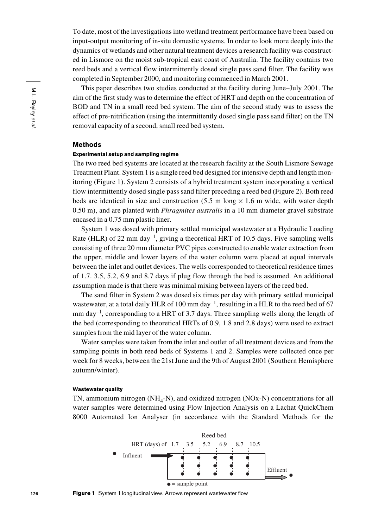To date, most of the investigations into wetland treatment performance have been based on input-output monitoring of in-situ domestic systems. In order to look more deeply into the dynamics of wetlands and other natural treatment devices a research facility was constructed in Lismore on the moist sub-tropical east coast of Australia. The facility contains two reed beds and a vertical flow intermittently dosed single pass sand filter. The facility was completed in September 2000, and monitoring commenced in March 2001.

This paper describes two studies conducted at the facility during June–July 2001. The aim of the first study was to determine the effect of HRT and depth on the concentration of BOD and TN in a small reed bed system. The aim of the second study was to assess the effect of pre-nitrification (using the intermittently dosed single pass sand filter) on the TN removal capacity of a second, small reed bed system.

# Methods

#### Experimental setup and sampling regime

The two reed bed systems are located at the research facility at the South Lismore Sewage Treatment Plant. System 1 is a single reed bed designed for intensive depth and length monitoring (Figure 1). System 2 consists of a hybrid treatment system incorporating a vertical flow intermittently dosed single pass sand filter preceding a reed bed (Figure 2). Both reed beds are identical in size and construction  $(5.5 \text{ m long} \times 1.6 \text{ m wide})$ , with water depth 0.50 m), and are planted with *Phragmites australis* in a 10 mm diameter gravel substrate encased in a 0.75 mm plastic liner.

System 1 was dosed with primary settled municipal wastewater at a Hydraulic Loading Rate (HLR) of 22 mm day<sup>-1</sup>, giving a theoretical HRT of 10.5 days. Five sampling wells consisting of three 20 mm diameter PVC pipes constructed to enable water extraction from the upper, middle and lower layers of the water column were placed at equal intervals between the inlet and outlet devices. The wells corresponded to theoretical residence times of 1.7. 3.5, 5.2, 6.9 and 8.7 days if plug flow through the bed is assumed. An additional assumption made is that there was minimal mixing between layers of the reed bed.

The sand filter in System 2 was dosed six times per day with primary settled municipal wastewater, at a total daily HLR of 100 mm day<sup>-1</sup>, resulting in a HLR to the reed bed of 67 mm day<sup>-1</sup>, corresponding to a HRT of 3.7 days. Three sampling wells along the length of the bed (corresponding to theoretical HRTs of 0.9, 1.8 and 2.8 days) were used to extract samples from the mid layer of the water column.

Water samples were taken from the inlet and outlet of all treatment devices and from the sampling points in both reed beds of Systems 1 and 2. Samples were collected once per week for 8 weeks, between the 21st June and the 9th of August 2001 (Southern Hemisphere autumn/winter).

#### Wastewater quality

TN, ammonium nitrogen  $(NH<sub>4</sub>-N)$ , and oxidized nitrogen  $(NOx-N)$  concentrations for all water samples were determined using Flow Injection Analysis on a Lachat QuickChem 8000 Automated Ion Analyser (in accordance with the Standard Methods for the

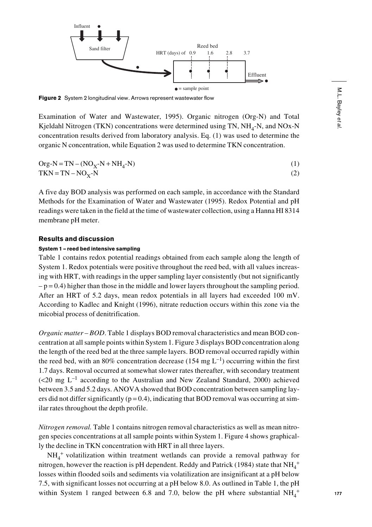

Figure 2 System 2 longitudinal view. Arrows represent wastewater flow

Examination of Water and Wastewater, 1995). Organic nitrogen (Org-N) and Total Kjeldahl Nitrogen (TKN) concentrations were determined using TN,  $NH<sub>4</sub>$ -N, and NOx-N concentration results derived from laboratory analysis. Eq. (1) was used to determine the organic N concentration, while Equation 2 was used to determine TKN concentration.

$$
Org-N=TN - (NOX-N + NH4-N)
$$
 (1)

 $TKN = TN - NO<sub>V</sub>-N$  (2)

A five day BOD analysis was performed on each sample, in accordance with the Standard Methods for the Examination of Water and Wastewater (1995). Redox Potential and pH readings were taken in the field at the time of wastewater collection, using a Hanna HI 8314 membrane pH meter.

## Results and discussion

## System 1 – reed bed intensive sampling

Table 1 contains redox potential readings obtained from each sample along the length of System 1. Redox potentials were positive throughout the reed bed, with all values increasing with HRT, with readings in the upper sampling layer consistently (but not significantly  $-p = 0.4$ ) higher than those in the middle and lower layers throughout the sampling period. After an HRT of 5.2 days, mean redox potentials in all layers had exceeded 100 mV. According to Kadlec and Knight (1996), nitrate reduction occurs within this zone via the micobial process of denitrification.

*Organic matter – BOD*. Table 1 displays BOD removal characteristics and mean BOD concentration at all sample points within System 1. Figure 3 displays BOD concentration along the length of the reed bed at the three sample layers. BOD removal occurred rapidly within the reed bed, with an 80% concentration decrease (154 mg  $L^{-1}$ ) occurring within the first 1.7 days. Removal occurred at somewhat slower rates thereafter, with secondary treatment (<20 mg L–1 according to the Australian and New Zealand Standard, 2000) achieved between 3.5 and 5.2 days. ANOVA showed that BOD concentration between sampling layers did not differ significantly ( $p = 0.4$ ), indicating that BOD removal was occurring at similar rates throughout the depth profile.

*Nitrogen removal.* Table 1 contains nitrogen removal characteristics as well as mean nitrogen species concentrations at all sample points within System 1. Figure 4 shows graphically the decline in TKN concentration with HRT in all three layers.

NH4 <sup>+</sup> volatilization within treatment wetlands can provide a removal pathway for nitrogen, however the reaction is pH dependent. Reddy and Patrick (1984) state that  $NH_4^+$ losses within flooded soils and sediments via volatilization are insignificant at a pH below 7.5, with significant losses not occurring at a pH below 8.0. As outlined in Table 1, the pH within System 1 ranged between 6.8 and 7.0, below the pH where substantial  $NH_4^+$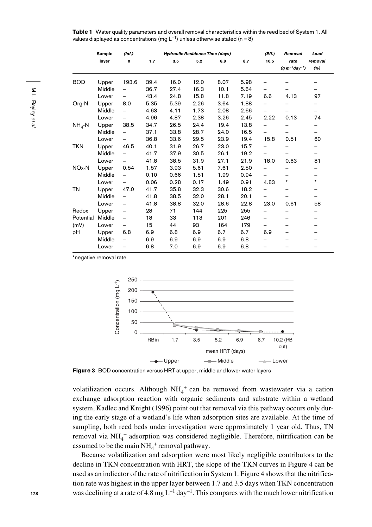Table 1 Water quality parameters and overall removal characteristics within the reed bed of System 1. All values displayed as concentrations (mg  $L^{-1}$ ) unless otherwise stated (n = 8)

|                    | Sample | (Inf.)                   |      | <b>Hydraulic Residence Time (days)</b> |      |      |      | (Eff.)                   | Removal              | Load    |
|--------------------|--------|--------------------------|------|----------------------------------------|------|------|------|--------------------------|----------------------|---------|
|                    | layer  | $\mathbf 0$              | 1.7  | 3.5                                    | 5.2  | 6.9  | 8.7  | 10.5                     | rate                 | removal |
|                    |        |                          |      |                                        |      |      |      |                          | $(g m^{-2}day^{-1})$ | (%)     |
| <b>BOD</b>         | Upper  | 193.6                    | 39.4 | 16.0                                   | 12.0 | 8.07 | 5.98 |                          |                      |         |
|                    | Middle |                          | 36.7 | 27.4                                   | 16.3 | 10.1 | 5.64 | -                        |                      |         |
|                    | Lower  |                          | 43.4 | 24.8                                   | 15.8 | 11.8 | 7.19 | 6.6                      | 4.13                 | 97      |
| Org-N              | Upper  | 8.0                      | 5.35 | 5.39                                   | 2.26 | 3.64 | 1.88 | -                        |                      |         |
|                    | Middle |                          | 4.63 | 4.11                                   | 1.73 | 2.08 | 2.66 | -                        |                      |         |
|                    | Lower  |                          | 4.96 | 4.87                                   | 2.38 | 3.26 | 2.45 | 2.22                     | 0.13                 | 74      |
| $NH4$ -N           | Upper  | 38.5                     | 34.7 | 26.5                                   | 24.4 | 19.4 | 13.8 | -                        |                      |         |
|                    | Middle |                          | 37.1 | 33.8                                   | 28.7 | 24.0 | 16.5 |                          |                      |         |
|                    | Lower  |                          | 36.8 | 33.6                                   | 29.5 | 23.9 | 19.4 | 15.8                     | 0.51                 | 60      |
| <b>TKN</b>         | Upper  | 46.5                     | 40.1 | 31.9                                   | 26.7 | 23.0 | 15.7 | -                        |                      |         |
|                    | Middle |                          | 41.7 | 37.9                                   | 30.5 | 26.1 | 19.2 | $\overline{\phantom{0}}$ |                      |         |
|                    | Lower  |                          | 41.8 | 38.5                                   | 31.9 | 27.1 | 21.9 | 18.0                     | 0.63                 | 81      |
| NO <sub>x</sub> -N | Upper  | 0.54                     | 1.57 | 3.93                                   | 5.61 | 7.61 | 2.50 | -                        | -                    |         |
|                    | Middle |                          | 0.10 | 0.66                                   | 1.51 | 1.99 | 0.94 | -                        |                      |         |
|                    | Lower  | $\overline{\phantom{0}}$ | 0.06 | 0.28                                   | 0.17 | 1.49 | 0.91 | 4.83                     | $\star$              | $\star$ |
| <b>TN</b>          | Upper  | 47.0                     | 41.7 | 35.8                                   | 32.3 | 30.6 | 18.2 | -                        | -                    |         |
|                    | Middle | -                        | 41.8 | 38.5                                   | 32.0 | 28.1 | 20.1 | $\overline{\phantom{0}}$ |                      |         |
|                    | Lower  | -                        | 41.8 | 38.8                                   | 32.0 | 28.6 | 22.8 | 23.0                     | 0.61                 | 58      |
| Redox              | Upper  | -                        | 28   | 71                                     | 144  | 225  | 255  |                          |                      |         |
| Potential          | Middle |                          | 18   | 33                                     | 113  | 201  | 246  | -                        | -                    |         |
| (mV)               | Lower  | -                        | 15   | 44                                     | 93   | 164  | 179  | -                        |                      |         |
| pH                 | Upper  | 6.8                      | 6.9  | 6.8                                    | 6.9  | 6.7  | 6.7  | 6.9                      |                      |         |
|                    | Middle |                          | 6.9  | 6.9                                    | 6.9  | 6.9  | 6.8  |                          |                      |         |
|                    | Lower  | -                        | 6.8  | 7.0                                    | 6.9  | 6.9  | 6.8  |                          |                      |         |

\*negative removal rate



Figure 3 BOD concentration versus HRT at upper, middle and lower water layers

volatilization occurs. Although  $NH_4^+$  can be removed from wastewater via a cation exchange adsorption reaction with organic sediments and substrate within a wetland system, Kadlec and Knight (1996) point out that removal via this pathway occurs only during the early stage of a wetland's life when adsorption sites are available. At the time of sampling, both reed beds under investigation were approximately 1 year old. Thus, TN removal via NH<sub>4</sub><sup>+</sup> adsorption was considered negligible. Therefore, nitrification can be assumed to be the main  $NH_4^+$  removal pathway.

Because volatilization and adsorption were most likely negligible contributors to the decline in TKN concentration with HRT, the slope of the TKN curves in Figure 4 can be used as an indicator of the rate of nitrification in System 1. Figure 4 shows that the nitrification rate was highest in the upper layer between 1.7 and 3.5 days when TKN concentration was declining at a rate of 4.8 mg  $L^{-1}$  day<sup>-1</sup>. This compares with the much lower nitrification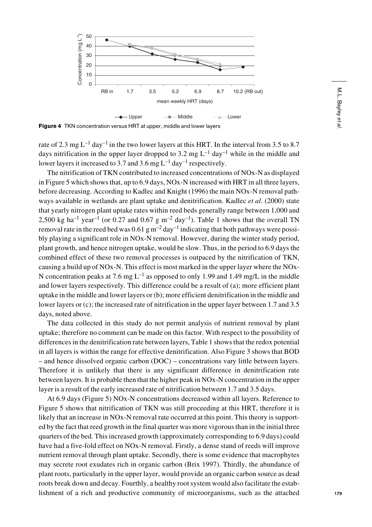

Figure 4 TKN concentration versus HRT at upper, middle and lower layers

rate of 2.3 mg  $L^{-1}$  day<sup>-1</sup> in the two lower layers at this HRT. In the interval from 3.5 to 8.7 days nitrification in the upper layer dropped to 3.2 mg  $L^{-1}$  day<sup>-1</sup> while in the middle and lower layers it increased to 3.7 and 3.6 mg  $L^{-1}$  day<sup>-1</sup> respectively.

The nitrification of TKN contributed to increased concentrations of NOx-N as displayed in Figure 5 which shows that, up to 6.9 days, NOx-N increased with HRT in all three layers, before decreasing. According to Kadlec and Knight (1996) the main NOx-N removal pathways available in wetlands are plant uptake and denitrification. Kadlec *et al*. (2000) state that yearly nitrogen plant uptake rates within reed beds generally range between 1,000 and 2,500 kg ha<sup>-1</sup> year<sup>-1</sup> (or 0.27 and 0.67 g m<sup>-2</sup> day<sup>-1</sup>). Table 1 shows that the overall TN removal rate in the reed bed was  $0.61 \text{ g m}^{-2}$  day<sup>-1</sup> indicating that both pathways were possibly playing a significant role in NOx-N removal. However, during the winter study period, plant growth, and hence nitrogen uptake, would be slow. Thus, in the period to 6.9 days the combined effect of these two removal processes is outpaced by the nitrification of TKN, causing a build up of NOx-N. This effect is most marked in the upper layer where the NOx-N concentration peaks at 7.6 mg  $L^{-1}$  as opposed to only 1.99 and 1.49 mg/L in the middle and lower layers respectively. This difference could be a result of (a); more efficient plant uptake in the middle and lower layers or (b); more efficient denitrification in the middle and lower layers or (c); the increased rate of nitrification in the upper layer between 1.7 and 3.5 days, noted above.

The data collected in this study do not permit analysis of nutrient removal by plant uptake; therefore no comment can be made on this factor. With respect to the possibility of differences in the denitrification rate between layers, Table 1 shows that the redox potential in all layers is within the range for effective denitrification. Also Figure 3 shows that BOD – and hence dissolved organic carbon (DOC) – concentrations vary little between layers. Therefore it is unlikely that there is any significant difference in denitrification rate between layers. It is probable then that the higher peak in NOx-N concentration in the upper layer is a result of the early increased rate of nitrification between 1.7 and 3.5 days.

At 6.9 days (Figure 5) NOx-N concentrations decreased within all layers. Reference to Figure 5 shows that nitrification of TKN was still proceeding at this HRT, therefore it is likely that an increase in NOx-N removal rate occurred at this point. This theory is supported by the fact that reed growth in the final quarter was more vigorous than in the initial three quarters of the bed. This increased growth (approximately corresponding to 6.9 days) could have had a five-fold effect on NOx-N removal. Firstly, a dense stand of reeds will improve nutrient removal through plant uptake. Secondly, there is some evidence that macrophytes may secrete root exudates rich in organic carbon (Brix 1997). Thirdly, the abundance of plant roots, particularly in the upper layer, would provide an organic carbon source as dead roots break down and decay. Fourthly, a healthy root system would also facilitate the establishment of a rich and productive community of microorganisms, such as the attached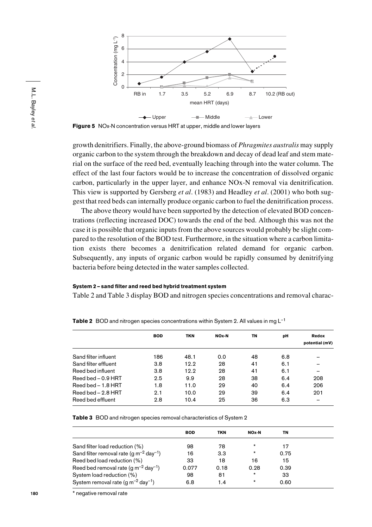

Figure 5 NOx-N concentration versus HRT at upper, middle and lower layers

growth denitrifiers. Finally, the above-ground biomass of *Phragmites australis* may supply organic carbon to the system through the breakdown and decay of dead leaf and stem material on the surface of the reed bed, eventually leaching through into the water column. The effect of the last four factors would be to increase the concentration of dissolved organic carbon, particularly in the upper layer, and enhance NOx-N removal via denitrification. This view is supported by Gersberg *et al*. (1983) and Headley *et al*. (2001) who both suggest that reed beds can internally produce organic carbon to fuel the denitrification process.

The above theory would have been supported by the detection of elevated BOD concentrations (reflecting increased DOC) towards the end of the bed. Although this was not the case it is possible that organic inputs from the above sources would probably be slight compared to the resolution of the BOD test. Furthermore, in the situation where a carbon limitation exists there becomes a denitrification related demand for organic carbon. Subsequently, any inputs of organic carbon would be rapidly consumed by denitrifying bacteria before being detected in the water samples collected.

#### System 2 – sand filter and reed bed hybrid treatment system

Table 2 and Table 3 display BOD and nitrogen species concentrations and removal charac-

|                      | <b>BOD</b> | <b>TKN</b> | NO <sub>x</sub> -N | ΤN | рH  | Redox<br>potential (mV) |  |
|----------------------|------------|------------|--------------------|----|-----|-------------------------|--|
| Sand filter influent | 186        | 48.1       | 0.0                | 48 | 6.8 |                         |  |
| Sand filter effluent | 3.8        | 12.2       | 28                 | 41 | 6.1 |                         |  |
| Reed bed influent    | 3.8        | 12.2       | 28                 | 41 | 6.1 |                         |  |
| Reed bed – 0.9 HRT   | 2.5        | 9.9        | 28                 | 38 | 6.4 | 208                     |  |
| Reed bed $-1.8$ HRT  | 1.8        | 11.0       | 29                 | 40 | 6.4 | 206                     |  |
| Reed bed $-2.8$ HRT  | 2.1        | 10.0       | 29                 | 39 | 6.4 | 201                     |  |
| Reed bed effluent    | 2.8        | 10.4       | 25                 | 36 | 6.3 |                         |  |

**Table 2** BOD and nitrogen species concentrations within System 2. All values in mg  $L^{-1}$ 

Table 3 BOD and nitrogen species removal characteristics of System 2

|                                                          | <b>BOD</b> | <b>TKN</b> | NOx-N    | ΤN   |
|----------------------------------------------------------|------------|------------|----------|------|
| Sand filter load reduction (%)                           | 98         | 78         | $^\star$ | 17   |
| Sand filter removal rate (q $m^{-2}$ day <sup>-1</sup> ) | 16         | 3.3        | $^\star$ | 0.75 |
| Reed bed load reduction (%)                              | 33         | 18         | 16       | 15   |
| Reed bed removal rate (g $m^{-2}$ day <sup>-1</sup> )    | 0.077      | 0.18       | 0.28     | 0.39 |
| System load reduction (%)                                | 98         | 81         | $\star$  | 33   |
| System removal rate $(q m^{-2} day^{-1})$                | 6.8        | 1.4        | $^\star$ | 0.60 |
|                                                          |            |            |          |      |

\* negative removal rate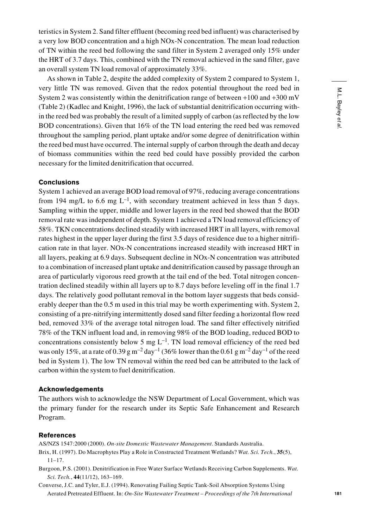teristics in System 2. Sand filter effluent (becoming reed bed influent) was characterised by a very low BOD concentration and a high NOx-N concentration. The mean load reduction of TN within the reed bed following the sand filter in System 2 averaged only 15% under the HRT of 3.7 days. This, combined with the TN removal achieved in the sand filter, gave an overall system TN load removal of approximately 33%.

As shown in Table 2, despite the added complexity of System 2 compared to System 1, very little TN was removed. Given that the redox potential throughout the reed bed in System 2 was consistently within the denitrification range of between  $+100$  and  $+300$  mV (Table 2) (Kadlec and Knight, 1996), the lack of substantial denitrification occurring within the reed bed was probably the result of a limited supply of carbon (as reflected by the low BOD concentrations). Given that 16% of the TN load entering the reed bed was removed throughout the sampling period, plant uptake and/or some degree of denitrification within the reed bed must have occurred. The internal supply of carbon through the death and decay of biomass communities within the reed bed could have possibly provided the carbon necessary for the limited denitrification that occurred.

## **Conclusions**

System 1 achieved an average BOD load removal of 97%, reducing average concentrations from 194 mg/L to 6.6 mg  $L^{-1}$ , with secondary treatment achieved in less than 5 days. Sampling within the upper, middle and lower layers in the reed bed showed that the BOD removal rate was independent of depth. System 1 achieved a TN load removal efficiency of 58%. TKN concentrations declined steadily with increased HRT in all layers, with removal rates highest in the upper layer during the first 3.5 days of residence due to a higher nitrification rate in that layer. NOx-N concentrations increased steadily with increased HRT in all layers, peaking at 6.9 days. Subsequent decline in NOx-N concentration was attributed to a combination of increased plant uptake and denitrification caused by passage through an area of particularly vigorous reed growth at the tail end of the bed. Total nitrogen concentration declined steadily within all layers up to 8.7 days before leveling off in the final 1.7 days. The relatively good pollutant removal in the bottom layer suggests that beds considerably deeper than the 0.5 m used in this trial may be worth experimenting with. System 2, consisting of a pre-nitrifying intermittently dosed sand filter feeding a horizontal flow reed bed, removed 33% of the average total nitrogen load. The sand filter effectively nitrified 78% of the TKN influent load and, in removing 98% of the BOD loading, reduced BOD to concentrations consistently below 5 mg  $L^{-1}$ . TN load removal efficiency of the reed bed was only 15%, at a rate of 0.39 g m<sup>-2</sup> day<sup>-1</sup> (36% lower than the 0.61 g m<sup>-2</sup> day<sup>-1</sup> of the reed bed in System 1). The low TN removal within the reed bed can be attributed to the lack of carbon within the system to fuel denitrification.

# Acknowledgements

The authors wish to acknowledge the NSW Department of Local Government, which was the primary funder for the research under its Septic Safe Enhancement and Research Program.

#### References

AS/NZS 1547:2000 (2000). *On-site Domestic Wastewater Management*. Standards Australia.

- Brix, H. (1997). Do Macrophytes Play a Role in Constructed Treatment Wetlands? *Wat. Sci. Tech.*, **35**(5), 11–17.
- Burgoon, P.S. (2001). Denitrification in Free Water Surface Wetlands Receiving Carbon Supplements. *Wat. Sci. Tech.*, **44**(11/12), 163–169.
- Converse, J.C. and Tyler, E.J. (1994). Renovating Failing Septic Tank-Soil Absorption Systems Using Aerated Pretreated Effluent. In: *On-Site Wastewater Treatment – Proceedings of the 7th International*